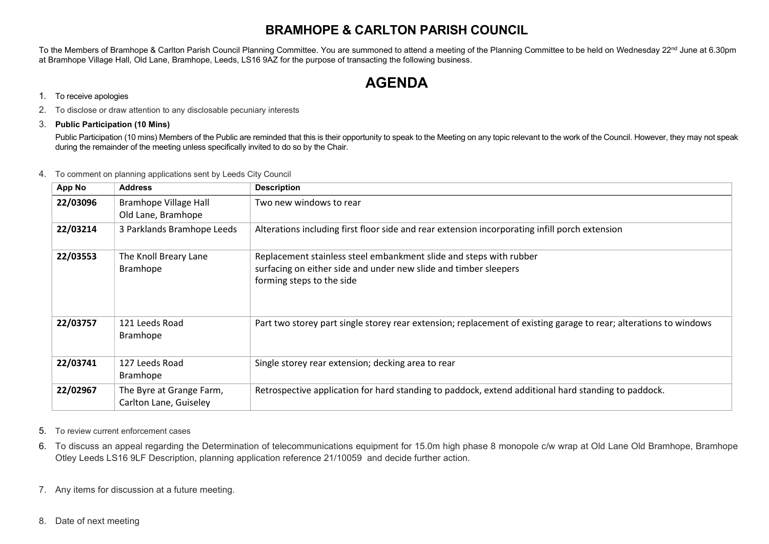## BRAMHOPE & CARLTON PARISH COUNCIL

To the Members of Bramhope & Carlton Parish Council Planning Committee. You are summoned to attend a meeting of the Planning Committee to be held on Wednesday 22<sup>nd</sup> June at 6.30pm at Bramhope Village Hall, Old Lane, Bramhope, Leeds, LS16 9AZ for the purpose of transacting the following business.

# AGENDA

#### 1. To receive apologies

2. To disclose or draw attention to any disclosable pecuniary interests

#### 3. Public Participation (10 Mins)

Public Participation (10 mins) Members of the Public are reminded that this is their opportunity to speak to the Meeting on any topic relevant to the work of the Council. However, they may not speak during the remainder of the meeting unless specifically invited to do so by the Chair.

#### 4. To comment on planning applications sent by Leeds City Council

| App No   | <b>Address</b>                                     | <b>Description</b>                                                                                                                                                  |
|----------|----------------------------------------------------|---------------------------------------------------------------------------------------------------------------------------------------------------------------------|
| 22/03096 | <b>Bramhope Village Hall</b><br>Old Lane, Bramhope | Two new windows to rear                                                                                                                                             |
| 22/03214 | 3 Parklands Bramhope Leeds                         | Alterations including first floor side and rear extension incorporating infill porch extension                                                                      |
| 22/03553 | The Knoll Breary Lane<br><b>Bramhope</b>           | Replacement stainless steel embankment slide and steps with rubber<br>surfacing on either side and under new slide and timber sleepers<br>forming steps to the side |
| 22/03757 | 121 Leeds Road<br><b>Bramhope</b>                  | Part two storey part single storey rear extension; replacement of existing garage to rear; alterations to windows                                                   |
| 22/03741 | 127 Leeds Road<br><b>Bramhope</b>                  | Single storey rear extension; decking area to rear                                                                                                                  |
| 22/02967 | The Byre at Grange Farm,<br>Carlton Lane, Guiseley | Retrospective application for hard standing to paddock, extend additional hard standing to paddock.                                                                 |

#### 5. To review current enforcement cases

6. To discuss an appeal regarding the Determination of telecommunications equipment for 15.0m high phase 8 monopole c/w wrap at Old Lane Old Bramhope, Bramhope Otley Leeds LS16 9LF Description, planning application reference 21/10059 and decide further action.

7. Any items for discussion at a future meeting.

### 8. Date of next meeting